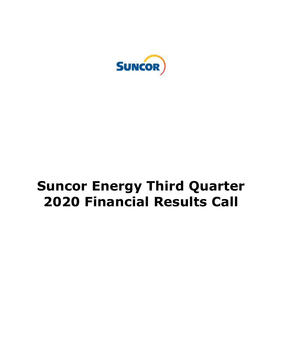

# **Suncor Energy Third Quarter 2020 Financial Results Call**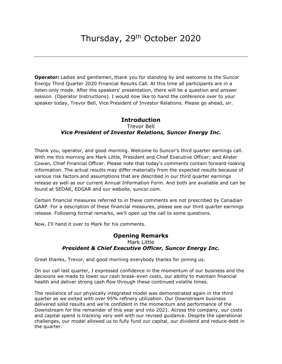**Operator:** Ladies and gentlemen, thank you for standing by and welcome to the Suncor Energy Third Quarter 2020 Financial Results Call. At this time all participants are in a listen-only mode. After the speakers' presentation, there will be a question and answer session. (Operator Instructions). I would now like to hand the conference over to your speaker today, Trevor Bell, Vice President of Investor Relations. Please go ahead, sir.

# Trevor Bell  *Vice President of Investor Relations, Suncor Energy Inc.*  **Introduction**

 Thank you, operator, and good morning. Welcome to Suncor's third quarter earnings call. With me this morning are Mark Little, President and Chief Executive Officer; and Alister Cowan, Chief Financial Officer. Please note that today's comments contain forward-looking information. The actual results may differ materially from the expected results because of various risk factors and assumptions that are described in our third quarter earnings release as well as our current Annual Information Form. And both are available and can be found at SEDAR, EDGAR and our website, [suncor.com](https://suncor.com).

 Certain financial measures referred to in these comments are not prescribed by Canadian GAAP. For a description of these financial measures, please see our third quarter earnings release. Following formal remarks, we'll open up the call to some questions.

Now, I'll hand it over to Mark for his comments.

# **Opening Remarks**  Mark Little  *President & Chief Executive Officer, Suncor Energy Inc.*

Great thanks, Trevor, and good morning everybody thanks for joining us.

 On our call last quarter, I expressed confidence in the momentum of our business and the decisions we made to lower our cash break-even costs, our ability to maintain financial health and deliver strong cash flow through these continued volatile times.

 The resilience of our physically integrated model was demonstrated again in the third quarter as we exited with over 95% refinery utilization. Our Downstream business delivered solid results and we're confident in the momentum and performance of the Downstream for the remainder of this year and into 2021. Across the company, our costs and capital spend is tracking very well with our revised guidance. Despite the operational challenges, our model allowed us to fully fund our capital, our dividend and reduce debt in the quarter.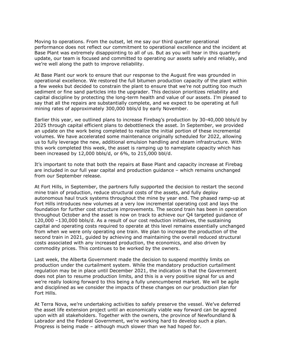Moving to operations. From the outset, let me say our third quarter operational performance does not reflect our commitment to operational excellence and the incident at Base Plant was extremely disappointing to all of us. But as you will hear in this quarterly update, our team is focused and committed to operating our assets safely and reliably, and we're well along the path to improve reliability.

 At Base Plant our work to ensure that our response to the August fire was grounded in operational excellence. We restored the full bitumen production capacity of the plant within a few weeks but decided to constrain the plant to ensure that we're not putting too much sediment or fine sand particles into the upgrader. This decision prioritizes reliability and capital discipline by protecting the long-term health and value of our assets. I'm pleased to say that all the repairs are substantially complete, and we expect to be operating at full mining rates of approximately 300,000 bbls/d by early November.

 Earlier this year, we outlined plans to increase Firebag's production by 30-40,000 bbls/d by 2025 through capital efficient plans to debottleneck the asset. In September, we provided an update on the work being completed to realize the initial portion of these incremental volumes. We have accelerated some maintenance originally scheduled for 2022, allowing us to fully leverage the new, additional emulsion handling and steam infrastructure. With this work completed this week, the asset is ramping up to nameplate capacity which has been increased by 12,000 bbls/d, or 6%, to 215,000 bbl/d.

 It's important to note that both the repairs at Base Plant and capacity increase at Firebag are included in our full year capital and production guidance – which remains unchanged from our September release.

 At Fort Hills, in September, the partners fully supported the decision to restart the second mine train of production, reduce structural costs of the assets, and fully deploy autonomous haul truck systems throughout the mine by year end. The phased ramp-up at Fort Hills introduces new volumes at a very low incremental operating cost and lays the foundation for further cost structure improvements. The second train has been in operation throughout October and the asset is now on track to achieve our Q4 targeted guidance of 120,000 –130,000 bbls/d. As a result of our cost reduction initiatives, the sustaining capital and operating costs required to operate at this level remains essentially unchanged from when we were only operating one train. We plan to increase the production of the second train in 2021, guided by achieving and maintaining the overall reduced structural costs associated with any increased production, the economics, and also driven by commodity prices. This continues to be worked by the owners.

 Last week, the Alberta Government made the decision to suspend monthly limits on production under the curtailment system. While the mandatory production curtailment regulation may be in place until December 2021, the indication is that the Government does not plan to resume production limits, and this is a very positive signal for us and we're really looking forward to this being a fully unencumbered market. We will be agile and disciplined as we consider the impacts of these changes on our production plan for Fort Hills.

 At Terra Nova, we're undertaking activities to safely preserve the vessel. We've deferred the asset life extension project until an economically viable way forward can be agreed upon with all stakeholders. Together with the owners, the province of Newfoundland & Labrador and the Federal Government, we're working hard to develop such a plan. Progress is being made – although much slower than we had hoped for.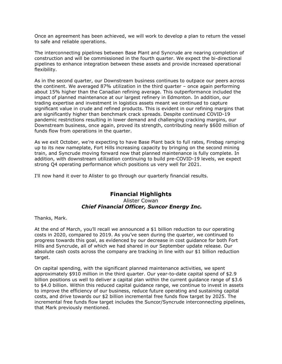Once an agreement has been achieved, we will work to develop a plan to return the vessel to safe and reliable operations.

 The interconnecting pipelines between Base Plant and Syncrude are nearing completion of construction and will be commissioned in the fourth quarter. We expect the bi-directional pipelines to enhance integration between these assets and provide increased operational flexibility.

 As in the second quarter, our Downstream business continues to outpace our peers across the continent. We averaged 87% utilization in the third quarter – once again performing about 15% higher than the Canadian refining average. This outperformance included the impact of planned maintenance at our largest refinery in Edmonton. In addition, our trading expertise and investment in logistics assets meant we continued to capture significant value in crude and refined products. This is evident in our refining margins that are significantly higher than benchmark crack spreads. Despite continued COVID-19 pandemic restrictions resulting in lower demand and challenging cracking margins, our Downstream business, once again, proved its strength, contributing nearly \$600 million of funds flow from operations in the quarter.

 As we exit October, we're expecting to have Base Plant back to full rates, Firebag ramping up to its new nameplate, Fort Hills increasing capacity by bringing on the second mining train, and Syncrude moving forward now that planned maintenance is fully complete. In addition, with downstream utilization continuing to build pre-COVID-19 levels, we expect strong Q4 operating performance which positions us very well for 2021.

I'll now hand it over to Alister to go through our quarterly financial results.

## Alister Cowan  *Chief Financial Officer, Suncor Energy Inc.*  **Financial Highlights**

Thanks, Mark.

 At the end of March, you'll recall we announced a \$1 billion reduction to our operating costs in 2020, compared to 2019. As you've seen during the quarter, we continued to progress towards this goal, as evidenced by our decrease in cost guidance for both Fort Hills and Syncrude, all of which we had shared in our September update release. Our absolute cash costs across the company are tracking in line with our \$1 billion reduction target.

target.<br>On capital spending, with the significant planned maintenance activities, we spent approximately \$910 million in the third quarter. Our year-to-date capital spend of \$2.9 billion positions us well to deliver a capital plan within the current guidance range of \$3.6 to \$4.0 billion. Within this reduced capital guidance range, we continue to invest in assets to improve the efficiency of our business, reduce future operating and sustaining capital costs, and drive towards our \$2 billion incremental free funds flow target by 2025. The incremental free funds flow target includes the Suncor/Syncrude interconnecting pipelines, that Mark previously mentioned.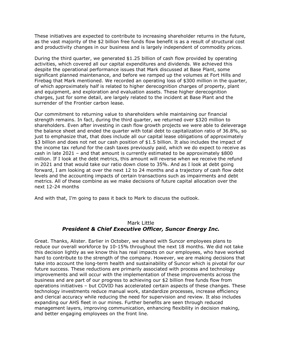These initiatives are expected to contribute to increasing shareholder returns in the future, as the vast majority of the \$2 billion free funds flow benefit is as a result of structural cost and productivity changes in our business and is largely independent of commodity prices.

 During the third quarter, we generated \$1.25 billion of cash flow provided by operating activities, which covered all our capital expenditures and dividends. We achieved this despite the operational performance issues that Mark discussed at Base Plant, some significant planned maintenance, and before we ramped up the volumes at Fort Hills and Firebag that Mark mentioned. We recorded an operating loss of \$300 million in the quarter, of which approximately half is related to higher derecognition charges of property, plant and equipment, and exploration and evaluation assets. These higher derecognition charges, just for some detail, are largely related to the incident at Base Plant and the surrender of the Frontier carbon lease.

 Our commitment to returning value to shareholders while maintaining our financial strength remains. In fact, during the third quarter, we returned over \$320 million to shareholders. Even after investing in cash flow growth projects we were able to deleverage the balance sheet and ended the quarter with total debt to capitalization ratio of 36.8%, so just to emphasize that, that does include all our capital lease obligations of approximately \$3 billion and does not net our cash position of \$1.5 billion. It also includes the impact of the income tax refund for the cash taxes previously paid, which we do expect to receive as cash in late 2021 – and that amount is currently estimated to be approximately \$800 million. If I look at the debt metrics, this amount will reverse when we receive the refund in 2021 and that would take our ratio down close to 35%. And as I look at debt going forward, I am looking at over the next 12 to 24 months and a trajectory of cash flow debt levels and the accounting impacts of certain transactions such as impairments and debt metrics. All of these combine as we make decisions of future capital allocation over the next 12-24 months

And with that, I'm going to pass it back to Mark to discuss the outlook.

### Mark Little  *President & Chief Executive Officer, Suncor Energy Inc.*

 Great. Thanks, Alister. Earlier in October, we shared with Suncor employees plans to reduce our overall workforce by 10-15% throughout the next 18 months. We did not take this decision lightly as we know this has real impacts on our employees, who have worked hard to contribute to the strength of the company. However, we are making decisions that take into account the long-term health and sustainability of Suncor which is pivotal for our future success. These reductions are primarily associated with process and technology improvements and will occur with the implementation of these improvements across the business and are part of our progress to achieving our \$2 billion free funds flow from operations initiatives – but COVID has accelerated certain aspects of these changes. These technology investments reduce manual work, standardize processes, increase efficiency and clerical accuracy while reducing the need for supervision and review. It also includes expanding our AHS fleet in our mines. Further benefits are seen through reduced management layers, improving communication, enhancing flexibility in decision making, and better engaging employees on the front line.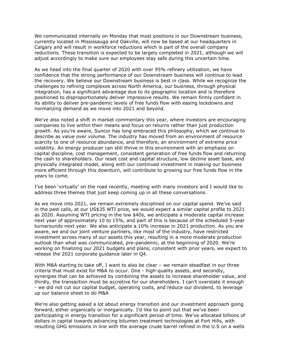We communicated internally on Monday that most positions in our Downstream business, currently located in Mississauga and Oakville, will now be based at our headquarters in Calgary and will result in workforce reductions which is part of the overall company reductions. These transition is expected to be largely completed in 2021, although we will adjust accordingly to make sure our employees stay safe during this uncertain time.

 As we head into the final quarter of 2020 with over 95% refinery utilization, we have confidence that the strong performance of our Downstream business will continue to lead the recovery. We believe our Downstream business is best in class. While we recognize the challenges to refining complexes across North America, our business, through physical integration, has a significant advantage due to its geographic location and is therefore positioned to disproportionately deliver impressive results. We remain firmly confident in its ability to deliver pre-pandemic levels of free funds flow with easing lockdowns and normalizing demand as we move into 2021 and beyond.

 We've also noted a shift in market commentary this year, where investors are encouraging companies to live within their means and focus on returns rather than just production growth. As you're aware, Suncor has long embraced this philosophy, which we continue to describe as value over volume. The industry has moved from an environment of resource scarcity to one of resource abundance, and therefore, an environment of extreme price volatility. An energy producer can still thrive in this environment with an emphasis on capital discipline, cost management, consistent generation of free funds flow and returning the cash to shareholders. Our reset cost and capital structure, low decline asset base, and physically integrated model, along with our continued investment in making our business more efficient through this downturn, will contribute to growing our free funds flow in the years to come.

 I've been 'virtually' on the road recently, meeting with many investors and I would like to address three themes that just keep coming up in all these conversations.

 As we move into 2021, we remain extremely disciplined on our capital spend. We've said in the past calls, at our US\$35 WTI price, we would expect a similar capital profile to 2021 as 2020. Assuming WTI pricing in the low \$40s, we anticipate a moderate capital increase next year of approximately 10 to 15%, and part of this is because of the scheduled 5-year turnarounds next year. We also anticipate a 10% increase in 2021 production. As you are aware, we and our joint venture partners, like most of the industry, have restricted investment across many of our assets this year, resulting in a more moderate production outlook than what was communicated, pre-pandemic, at the beginning of 2020. We're working on finalizing our 2021 budgets and plans, consistent with prior years, we expect to release the 2021 corporate guidance later in Q4.

 With M&A starting to take off, I want to also be clear – we remain steadfast in our three criteria that must exist for M&A to occur. One - high-quality assets, and secondly, synergies that can be achieved by combining the assets to increase shareholder value, and thirdly, the transaction must be accretive for our shareholders. I can't overstate it enough - we did not cut our capital budget, operating costs, and reduce our dividend, to leverage up our balance sheet to do M&A

 We're also getting asked a lot about energy transition and our investment approach going forward, either organically or inorganically. I'd like to point out that we've been participating in energy transition for a significant period of time. We've allocated billions of dollars in capital towards advancing bitumen treatment technologies at Fort Hills, with resulting GHG emissions in line with the average crude barrel refined in the U.S on a wells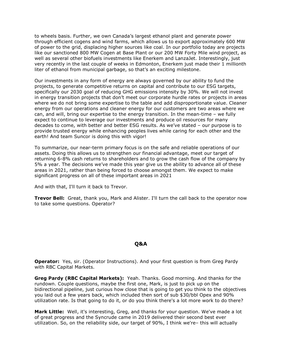to wheels basis. Further, we own Canada's largest ethanol plant and generate power through efficient cogens and wind farms, which allows us to export approximately 600 MW of power to the grid, displacing higher sources like coal. In our portfolio today are projects like our sanctioned 800 MW Cogen at Base Plant or our 200 MW Forty Mile wind project, as well as several other biofuels investments like Enerkem and LanzaJet. Interestingly, just very recently in the last couple of weeks in Edmonton, Enerkem just made their 1 millionth liter of ethanol from municipal garbage, so that's an exciting milestone.

 Our investments in any form of energy are always governed by our ability to fund the projects, to generate competitive returns on capital and contribute to our ESG targets, specifically our 2030 goal of reducing GHG emissions intensity by 30%. We will not invest in energy transition projects that don't meet our corporate hurdle rates or projects in areas where we do not bring some expertise to the table and add disproportionate value. Cleaner energy from our operations and cleaner energy for our customers are two areas where we can, and will, bring our expertise to the energy transition. In the mean-time – we fully expect to continue to leverage our investments and produce oil resources for many decades to come, with better and better ESG results. As we've stated – our purpose is to provide trusted energy while enhancing peoples lives while caring for each other and the earth! And team Suncor is doing this with vigor!

 To summarize, our near-term primary focus is on the safe and reliable operations of our assets. Doing this allows us to strengthen our financial advantage, meet our target of returning 6-8% cash returns to shareholders and to grow the cash flow of the company by 5% a year. The decisions we've made this year give us the ability to advance all of these areas in 2021, rather than being forced to choose amongst them. We expect to make significant progress on all of these important areas in 2021

And with that, I'll turn it back to Trevor.

 **Trevor Bell:** Great, thank you, Mark and Alister. I'll turn the call back to the operator now to take some questions. Operator?

### **Q&A**

 **Operator:** Yes, sir. (Operator Instructions). And your first question is from Greg Pardy with RBC Capital Markets.

 **Greg Pardy (RBC Capital Markets):** Yeah. Thanks. Good morning. And thanks for the rundown. Couple questions, maybe the first one, Mark, is just to pick up on the bidirectional pipeline, just curious how close that is going to get you think to the objectives you laid out a few years back, which included then sort of sub \$30/bbl Opex and 90% utilization rate. Is that going to do it, or do you think there's a lot more work to do there?

 **Mark Little:** Well, it's interesting, Greg, and thanks for your question. We've made a lot of great progress and the Syncrude came in 2019 delivered their second best ever utilization. So, on the reliability side, our target of 90%, I think we're– this will actually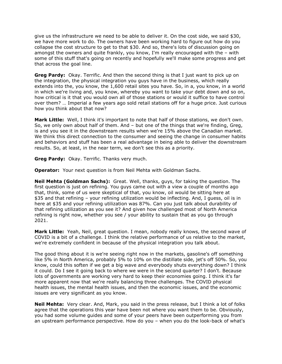give us the infrastructure we need to be able to deliver it. On the cost side, we said \$30, we have more work to do. The owners have been working hard to figure out how do you collapse the cost structure to get to that \$30. And so, there's lots of discussion going on amongst the owners and quite frankly, you know, I'm really encouraged with the – with some of this stuff that's going on recently and hopefully we'll make some progress and get that across the goal line.

 **Greg Pardy:** Okay. Terrific. And then the second thing is that I just want to pick up on the integration, the physical integration you guys have in the business, which really extends into the, you know, the 1,600 retail sites you have. So, in a, you know, in a world in which we're living and, you know, whereby you want to take your debt down and so on, how critical is it that you would own all of those stations or would it suffice to have control over them? … Imperial a few years ago sold retail stations off for a huge price. Just curious how you think about that now?

 **Mark Little:** Well, I think it's important to note that half of those stations, we don't own. So, we only own about half of them. And – but one of the things that we're finding, Greg, is and you see it in the downstream results when we're 15% above the Canadian market. We think this direct connection to the consumer and seeing the change in consumer habits and behaviors and stuff has been a real advantage in being able to deliver the downstream results. So, at least, in the near term, we don't see this as a priority.

**Greg Pardy:** Okay. Terrific. Thanks very much.

**Operator:** Your next question is from Neil Mehta with Goldman Sachs.

 **Neil Mehta (Goldman Sachs):** Great. Well, thanks, guys, for taking the question. The first question is just on refining. You guys came out with a view a couple of months ago that, think, some of us were skeptical of that, you know, oil would be sitting here at \$35 and that refining – your refining utilization would be inflecting. And, I guess, oil is in here at \$35 and your refining utilization was 87%. Can you just talk about durability of that refining utilization as you see it? And given how challenged most of North America refining is right now, whether you see / your ability to sustain that as you go through 2021.

 **Mark Little:** Yeah, Neil, great question. I mean, nobody really knows, the second wave of COVID is a bit of a challenge. I think the relative performance of us relative to the market, we're extremely confident in because of the physical integration you talk about.

 The good thing about it is we're seeing right now in the markets, gasoline's off something like 5% in North America, probably 5% to 10% on the distillate side, jet's off 50%. So, you know, could this soften if we get a big wave and everybody shuts everything down? I think it could. Do I see it going back to where we were in the second quarter? I don't. Because lots of governments are working very hard to keep their economies going. I think it's far more apparent now that we're really balancing three challenges. The COVID physical health issues, the mental health issues, and then the economic issues, and the economic issues are very significant as you know.

 **Neil Mehta:** Very clear. And, Mark, you said in the press release, but I think a lot of folks agree that the operations this year have been not where you want them to be. Obviously, you had some volume guides and some of your peers have been outperforming you from an upstream performance perspective. How do you – when you do the look-back of what's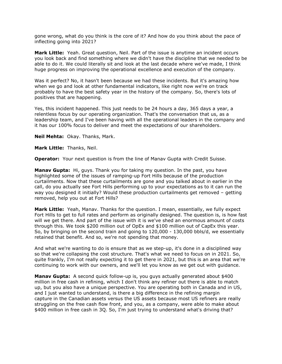gone wrong, what do you think is the core of it? And how do you think about the pace of inflecting going into 2021?

 **Mark Little:** Yeah. Great question, Neil. Part of the issue is anytime an incident occurs you look back and find something where we didn't have the discipline that we needed to be able to do it. We could literally sit and look at the last decade where we've made, I think huge progress on improving the operational excellence and execution of the company.

 Was it perfect? No, it hasn't been because we had these incidents. But it's amazing how when we go and look at other fundamental indicators, like right now we're on track probably to have the best safety year in the history of the company. So, there's lots of positives that are happening.

 Yes, this incident happened. This just needs to be 24 hours a day, 365 days a year, a relentless focus by our operating organization. That's the conversation that us, as a leadership team, and I've been having with all the operational leaders in the company and it has our 100% focus to deliver and meet the expectations of our shareholders.

**Neil Mehta:** Okay. Thanks, Mark.

**Mark Little:** Thanks, Neil.

**Operator:** Your next question is from the line of Manav Gupta with Credit Suisse.

 **Manav Gupta:** Hi, guys. Thank you for taking my question. In the past, you have highlighted some of the issues of ramping-up Fort Hills because of the production curtailments. Now that these curtailments are gone and you talked about in earlier in the call, do you actually see Fort Hills performing up to your expectations as to it can run the way you designed it initially? Would these production curtailments get removed – getting removed, help you out at Fort Hills?

 **Mark Little:** Yeah, Manav. Thanks for the question. I mean, essentially, we fully expect Fort Hills to get to full rates and perform as originally designed. The question is, is how fast will we get there. And part of the issue with it is we've shed an enormous amount of costs through this. We took \$200 million out of OpEx and \$100 million out of CapEx this year. So, by bringing on the second train and going to 120,000 - 130,000 bbls/d, we essentially retained that benefit. And so, we're not spending that money.

 And what we're wanting to do is ensure that as we step-up, it's done in a disciplined way so that we're collapsing the cost structure. That's what we need to focus on in 2021. So, quite frankly, I'm not really expecting it to get there in 2021, but this is an area that we're continuing to work with our owners, and we'll let you know as we get out with guidance.

 **Manav Gupta:** A second quick follow-up is, you guys actually generated about \$400 million in free cash in refining, which I don't think any refiner out there is able to match up, but you also have a unique perspective. You are operating both in Canada and in US, and I just wanted to understand, is there a big difference in the refining margin capture in the Canadian assets versus the US assets because most US refiners are really struggling on the free cash flow front, and you, as a company, were able to make about \$400 million in free cash in 3Q. So, I'm just trying to understand what's driving that?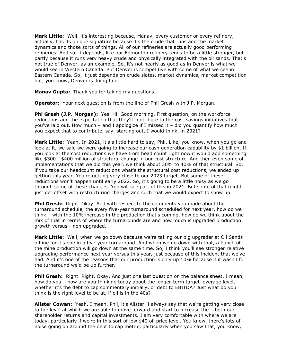**Mark Little:** Well, it's interesting because, Manav, every customer or every refinery, actually, has its unique signature because it's the crude that runs and the market dynamics and those sorts of things. All of our refineries are actually good performing refineries. And so, it depends, like our Edmonton refinery tends to be a little stronger, but partly because it runs very heavy crude and physically integrated with the oil sands. That's not true of Denver, as an example. So, it's not nearly as good as in Denver is what we would see in Western Canada. But Denver is competitive with some of what we see in Eastern Canada. So, it just depends on crude slates, market dynamics, market competition but, you know, Denver is doing fine.

 **Manav Gupta:** Thank you for taking my questions.

**Operator:** Your next question is from the line of Phil Gresh with J.P. Morgan.

**Phi Gresh (J.P. Morgan):** Yes. Hi. Good morning. First question, on the workforce reductions and the expectation that they'll contribute to the cost savings initiatives that you've laid out. How much – and I apologize if I missed it – did you quantify how much you expect that to contribute, say, starting out, I would think, in 2021?

 **Mark Little:** Yeah. In 2021, it's a little hard to say, Phil. Like, you know, when you go and look at it, we said we were going to increase our cash generation capability by \$1 billion. If you look at the cost reductions we have from head count right now it would add something like \$300 - \$400 million of structural change in our cost structure. And then even some of implementations that we did this year, we think about 30% to 40% of that structural. So, if you take our headcount reductions what's the structural cost reductions, we ended up getting this year. You're getting very close to our 2023 target. But some of these reductions won't happen until early 2022. So, it's going to be a little noisy as we go through some of these changes. You will see part of this in 2021. But some of that might just get offset with restructuring charges and such that we would expect to show up.

**Phil Gresh:** Right. Okay. And with respect to the comments you made about the turnaround schedule, the every five-year turnaround scheduled for next year, how do we think – with the 10% increase in the production that's coming, how do we think about the mix of that in terms of where the turnarounds are and how much is upgraded production growth versus - non upgraded.

 **Mark Little:** Well, when we go down because we're taking our big upgrader at Oil Sands offline for it's one in a five-year turnaround. And when we go down with that, a bunch of the mine production will go down at the same time. So, I think you'll see stronger relative upgrading performance next year versus this year, just because of this incident that we've had. And it's one of the reasons that our production is only up 10% because if it wasn't for the turnaround we'd be up further.

 **Phil Gresh:** Right. Right. Okay. And just one last question on the balance sheet, I mean, how do you – how are you thinking today about the longer-term target leverage level, whether it's the debt to cap commentary initially, or debt to EBITDA? Just what do you think is the right level to be at, if oil is in the 40s?

 **Alister Cowan:** Yeah. I mean, Phil, it's Alister. I always say that we're getting very close to the level at which we are able to move forward and start to increase the – both our shareholder returns and capital investments. I am very comfortable with where we are today, particularly if we're in this sort of low \$40 oil price level. You know, there's lots of noise going on around the debt to cap metric, particularly when you saw that, you know,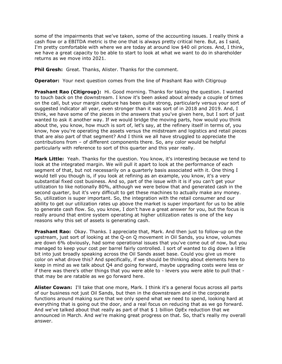some of the impairments that we've taken, some of the accounting issues. I really think a cash flow or a EBITDA metric is the one that is always pretty critical here. But, as I said, I'm pretty comfortable with where we are today at around low \$40 oil prices. And, I think, we have a great capacity to be able to start to look at what we want to do in shareholder returns as we move into 2021.

**Phil Gresh:** Great. Thanks, Alister. Thanks for the comment.

 **Operator:** Your next question comes from the line of Prashant Rao with Citigroup

 **Prashant Rao (Citigroup):** Hi. Good morning. Thanks for taking the question. I wanted to touch back on the downstream. I know it's been asked about already a couple of times on the call, but your margin capture has been quite strong, particularly versus your sort of suggested indicator all year, even stronger than it was sort of in 2018 and 2019. And, I think, we have some of the pieces in the answers that you've given here, but I sort of just wanted to ask it another way. If we would bridge the moving parts, how would you think about the, you know, how much is sort of, let's say, at the refinery itself in terms of, you know, how you're operating the assets versus the midstream and logistics and retail pieces that are also part of that segment? And I think we all have struggled to appreciate the contributions from – of different components there. So, any color would be helpful particularly with reference to sort of this quarter and this year really.

 **Mark Little:** Yeah. Thanks for the question. You know, it's interesting because we tend to look at the integrated margin. We will pull it apart to look at the performance of each segment of that, but not necessarily on a quarterly basis associated with it. One thing I would tell you though is, if you look at refining as an example, you know, it's a very substantial fixed cost business. And so, part of the issue with it is if you can't get your utilization to like notionally 80%, although we were below that and generated cash in the second quarter, but it's very difficult to get these machines to actually make any money. So, utilization is super important. So, the integration with the retail consumer and our ability to get our utilization rates up above the market is super important for us to be able to generate cash flow. So, you know, I don't have a great answer for you, but the focus is really around that entire system operating at higher utilization rates is one of the key reasons why this set of assets is generating cash.

 **Prashant Rao:** Okay. Thanks. I appreciate that, Mark. And then just to follow-up on the upstream, just sort of looking at the Q-on Q movement in Oil Sands, you know, volumes are down 6% obviously, had some operational issues that you've come out of now, but you managed to keep your cost per barrel fairly controlled. I sort of wanted to dig down a little bit into just broadly speaking across the Oil Sands asset base. Could you give us more color on what drove this? And specifically, if we should be thinking about elements here to keep in mind as we talk about Q4 and going forward, maybe upgrading costs were less or if there was there's other things that you were able to - levers you were able to pull that - that may be are ratable as we go forward here.

 **Alister Cowan:** I'll take that one more, Mark. I think it's a general focus across all parts of our business not just Oil Sands, but then in the downstream and in the corporate functions around making sure that we only spend what we need to spend, looking hard at everything that is going out the door, and a real focus on reducing that as we go forward. And we've talked about that really as part of that \$ 1 billion OpEx reduction that we announced in March. And we're making great progress on that. So, that's really my overall answer.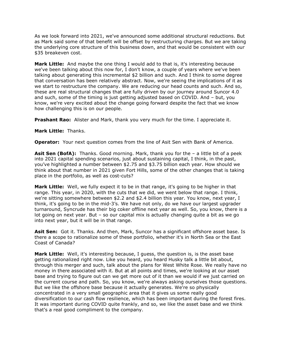As we look forward into 2021, we've announced some additional structural reductions. But as Mark said some of that benefit will be offset by restructuring charges. But we are taking the underlying core structure of this business down, and that would be consistent with our \$35 breakeven cost.

 **Mark Little:** And maybe the one thing I would add to that is, it's interesting because we've been talking about this now for, I don't know, a couple of years where we've been talking about generating this incremental \$2 billion and such. And I think to some degree that conversation has been relatively abstract. Now, we're seeing the implications of it as we start to restructure the company. We are reducing our head counts and such. And so, these are real structural changes that are fully driven by our journey around Suncor 4.0 and such, some of the timing is just getting adjusted based on COVID. And – but, you know, we're very excited about the change going forward despite the fact that we know how challenging this is on our people.

**Prashant Rao:** Alister and Mark, thank you very much for the time. I appreciate it.

#### **Mark Little:** Thanks.

**Operator:** Your next question comes from the line of Asit Sen with Bank of America.

 **Asit Sen (BofA):** Thanks. Good morning. Mark, thank you for the – a little bit of a peek into 2021 capital spending scenarios, just about sustaining capital, I think, in the past, you've highlighted a number between \$2.75 and \$3.75 billion each year. How should we think about that number in 2021 given Fort Hills, some of the other changes that is taking place in the portfolio, as well as cost-cuts?

 **Mark Little:** Well, we fully expect it to be in that range, it's going to be higher in that range. This year, in 2020, with the cuts that we did, we went below that range. I think, we're sitting somewhere between \$2.2 and \$2.4 billion this year. You know, next year, I think, it's going to be in the mid-3's. We have not only, do we have our largest upgrader turnaround, Syncrude has their big coker offline next year as well. So, you know, there is a lot going on next year. But – so our capital mix is actually changing quite a bit as we go into next year, but it will be in that range.

 **Asit Sen:** Got it. Thanks. And then, Mark, Suncor has a significant offshore asset base. Is there a scope to rationalize some of these portfolio, whether it's in North Sea or the East Coast of Canada?

 **Mark Little:** Well, it's interesting because, I guess, the question is, is the asset base getting rationalized right now. Like you heard, you heard Husky talk a little bit about, through this merger and such, talk about the plans for West White Rose. We really have no money in there associated with it. But at all points and times, we're looking at our asset base and trying to figure out can we get more out of it than we would if we just carried on the current course and path. So, you know, we're always asking ourselves those questions. But we like the offshore base because it actually generates. We're so physically concentrated in a very small geographic area that it gives us some really good diversification to our cash flow resilience, which has been important during the forest fires. It was important during COVID quite frankly, and so, we like the asset base and we think that's a real good compliment to the company.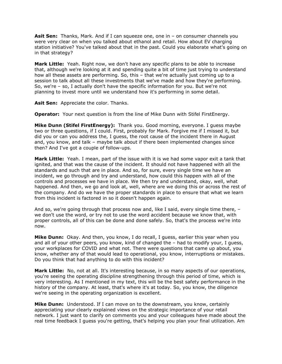**Asit Sen:** Thanks, Mark. And if I can squeeze one, one in – on consumer channels you were very clear on when you talked about ethanol and retail. How about EV charging station initiative? You've talked about that in the past. Could you elaborate what's going on in that strategy?

 **Mark Little:** Yeah. Right now, we don't have any specific plans to be able to increase that, although we're looking at it and spending quite a bit of time just trying to understand how all these assets are performing. So, this – that we're actually just coming up to a session to talk about all these investments that we've made and how they're performing. So, we're – so, I actually don't have the specific information for you. But we're not planning to invest more until we understand how it's performing in some detail.

**Asit Sen:** Appreciate the color. Thanks.

**Operator:** Your next question is from the line of Mike Dunn with Stifel FirstEnergy.

 **Mike Dunn (Stifel FirstEnergy):** Thank you. Good morning, everyone. I guess maybe two or three questions, if I could. First, probably for Mark. Forgive me if I missed it, but did you or can you address the, I guess, the root cause of the incident there in August and, you know, and talk – maybe talk about if there been implemented changes since then? And I've got a couple of follow-ups.

 **Mark Little:** Yeah. I mean, part of the issue with it is we had some vapor exit a tank that ignited, and that was the cause of the incident. It should not have happened with all the standards and such that are in place. And so, for sure, every single time we have an incident, we go through and try and understand, how could this happen with all of the controls and processes we have in place. We then try and understand, okay, well, what happened. And then, we go and look at, well, where are we doing this or across the rest of the company. And do we have the proper standards in place to ensure that what we learn from this incident is factored in so it doesn't happen again.

 And so, we're going through that process now and, like I said, every single time there, – we don't use the word, or try not to use the word accident because we know that, with proper controls, all of this can be done and done safely. So, that's the process we're into now.

 **Mike Dunn:** Okay. And then, you know, I do recall, I guess, earlier this year when you and all of your other peers, you know, kind of changed the – had to modify your, I guess, your workplaces for COVID and what not. There were questions that came up about, you know, whether any of that would lead to operational, you know, interruptions or mistakes. Do you think that had anything to do with this incident?

 **Mark Little:** No, not at all. It's interesting because, in so many aspects of our operations, you're seeing the operating discipline strengthening through this period of time, which is very interesting. As I mentioned in my text, this will be the best safety performance in the history of the company. At least, that's where it's at today. So, you know, the diligence we're seeing in the operating organization is excellent.

 **Mike Dunn:** Understood. If I can move on to the downstream, you know, certainly appreciating your clearly explained views on the strategic importance of your retail network. I just want to clarify on comments you and your colleagues have made about the real time feedback I guess you're getting, that's helping you plan your final utilization. Am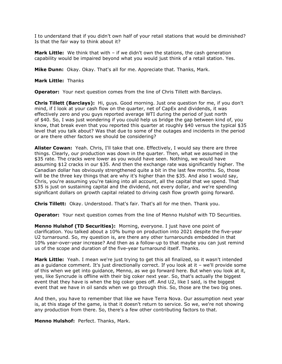I to understand that if you didn't own half of your retail stations that would be diminished? Is that the fair way to think about it?

 **Mark Little:** We think that with – if we didn't own the stations, the cash generation capability would be impaired beyond what you would just think of a retail station. Yes.

**Mike Dunn:** Okay. Okay. That's all for me. Appreciate that. Thanks, Mark.

#### **Mark Little:** Thanks

**Operator:** Your next question comes from the line of Chris Tillett with Barclays.

 **Chris Tillett (Barclays):** Hi, guys. Good morning. Just one question for me, if you don't mind, if I look at your cash flow on the quarter, net of CapEx and dividends, it was effectively zero and you guys reported average WTI during the period of just north of \$40. So, I was just wondering if you could help us bridge the gap between kind of, you know, that break even that you reported this quarter at roughly \$40 versus the typical \$35 level that you talk about? Was that due to some of the outages and incidents in the period or are there other factors we should be considering?

 **Alister Cowan:** Yeah. Chris, I'll take that one. Effectively, I would say there are three things. Clearly, our production was down in the quarter. Then, what we assumed in the \$35 rate. The cracks were lower as you would have seen. Nothing, we would have assuming \$12 cracks in our \$35. And then the exchange rate was significantly higher. The Canadian dollar has obviously strengthened quite a bit in the last few months. So, those will be the three key things that are why it's higher than the \$35. And also I would say, Chris, you're assuming you're taking into all account, all the capital that we spend. That \$35 is just on sustaining capital and the dividend, not every dollar, and we're spending significant dollars on growth capital related to driving cash flow growth going forward.

**Chris Tillett:** Okay. Understood. That's fair. That's all for me then. Thank you.

**Operator:** Your next question comes from the line of Menno Hulshof with TD Securities.

 **Menno Hulshof (TD Securities):** Morning, everyone. I just have one point of clarification. You talked about a 10% bump on production into 2021 despite the five-year U2 turnaround. So, my question is, are there any other turnarounds embedded in that 10% year-over-year increase? And then as a follow-up to that maybe you can just remind us of the scope and duration of the five-year turnaround itself. Thanks.

 **Mark Little:** Yeah. I mean we're just trying to get this all finalized, so it wasn't intended as a guidance comment. It's just directionally correct. If you look at it – we'll provide some of this when we get into guidance, Menno, as we go forward here. But when you look at it, yes, like Syncrude is offline with their big coker next year. So, that's actually the biggest event that they have is when the big coker goes off. And U2, like I said, is the biggest event that we have in oil sands when we go through this. So, those are the two big ones.

 And then, you have to remember that like we have Terra Nova. Our assumption next year is, at this stage of the game, is that it doesn't return to service. So we, we're not showing any production from there. So, there's a few other contributing factors to that.

**Menno Hulshof:** Perfect. Thanks, Mark.